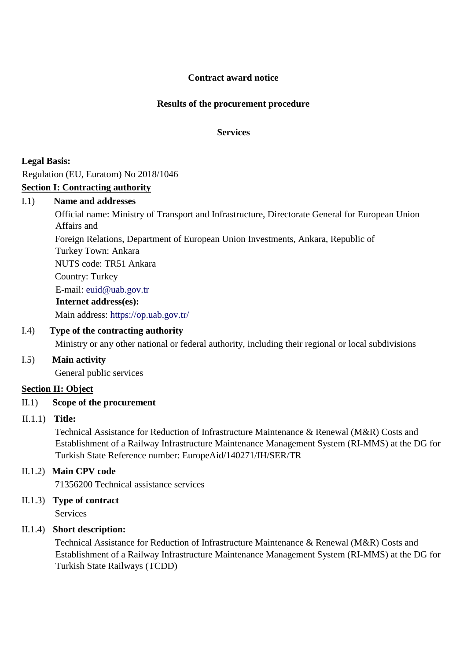## **Contract award notice**

## **Results of the procurement procedure**

**Services**

**Legal Basis:**

Regulation (EU, Euratom) No 2018/1046

## **Section I: Contracting authority**

#### I.1) **Name and addresses**

Official name: Ministry of Transport and Infrastructure, Directorate General for European Union Affairs and Foreign Relations, Department of European Union Investments, Ankara, Republic of Turkey Town: Ankara NUTS code: TR51 Ankara Country: Turkey E-mail: euid@uab.gov.tr

**Internet address(es):**

Main address:<https://op.uab.gov.tr/>

# I.4) **Type of the contracting authority**

Ministry or any other national or federal authority, including their regional or local subdivisions

#### I.5) **Main activity**

General public services

#### **Section II: Object**

## II.1) **Scope of the procurement**

#### II.1.1) **Title:**

Technical Assistance for Reduction of Infrastructure Maintenance & Renewal (M&R) Costs and Establishment of a Railway Infrastructure Maintenance Management System (RI-MMS) at the DG for Turkish State Reference number: EuropeAid/140271/IH/SER/TR

## II.1.2) **Main CPV code**

71356200 Technical assistance services

II.1.3) **Type of contract**

**Services** 

## II.1.4) **Short description:**

Technical Assistance for Reduction of Infrastructure Maintenance & Renewal (M&R) Costs and Establishment of a Railway Infrastructure Maintenance Management System (RI-MMS) at the DG for Turkish State Railways (TCDD)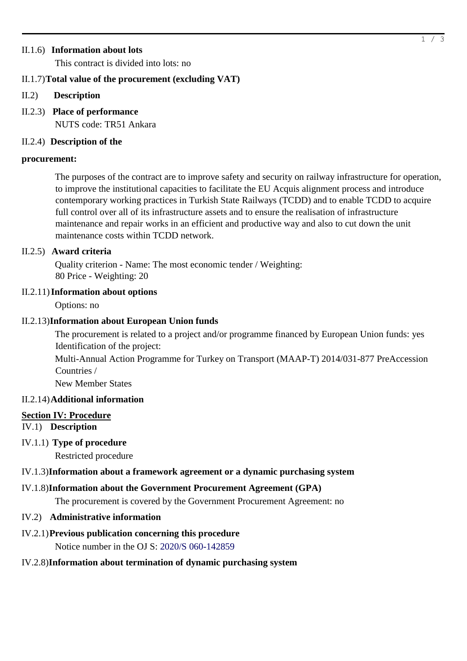## II.1.6) **Information about lots**

This contract is divided into lots: no

## II.1.7)**Total value of the procurement (excluding VAT)**

- II.2) **Description**
- II.2.3) **Place of performance** NUTS code: TR51 Ankara

## II.2.4) **Description of the**

#### **procurement:**

The purposes of the contract are to improve safety and security on railway infrastructure for operation, to improve the institutional capacities to facilitate the EU Acquis alignment process and introduce contemporary working practices in Turkish State Railways (TCDD) and to enable TCDD to acquire full control over all of its infrastructure assets and to ensure the realisation of infrastructure maintenance and repair works in an efficient and productive way and also to cut down the unit maintenance costs within TCDD network.

## II.2.5) **Award criteria**

Quality criterion - Name: The most economic tender / Weighting: 80 Price - Weighting: 20

## II.2.11)**Information about options**

Options: no

## II.2.13)**Information about European Union funds**

The procurement is related to a project and/or programme financed by European Union funds: yes Identification of the project:

Multi-Annual Action Programme for Turkey on Transport (MAAP-T) 2014/031-877 PreAccession Countries /

New Member States

## II.2.14)**Additional information**

#### **Section IV: Procedure**

IV.1) **Description**

## IV.1.1) **Type of procedure**

Restricted procedure

## IV.1.3)**Information about a framework agreement or a dynamic purchasing system**

## IV.1.8)**Information about the Government Procurement Agreement (GPA)**

The procurement is covered by the Government Procurement Agreement: no

#### IV.2) **Administrative information**

# IV.2.1)**Previous publication concerning this procedure**

Notice number in the OJ S: [2020/S 060-142859](http://ted.europa.eu/udl?uri=TED:NOTICE:142859-2020:TEXT:EN:HTML)

# IV.2.8)**Information about termination of dynamic purchasing system**